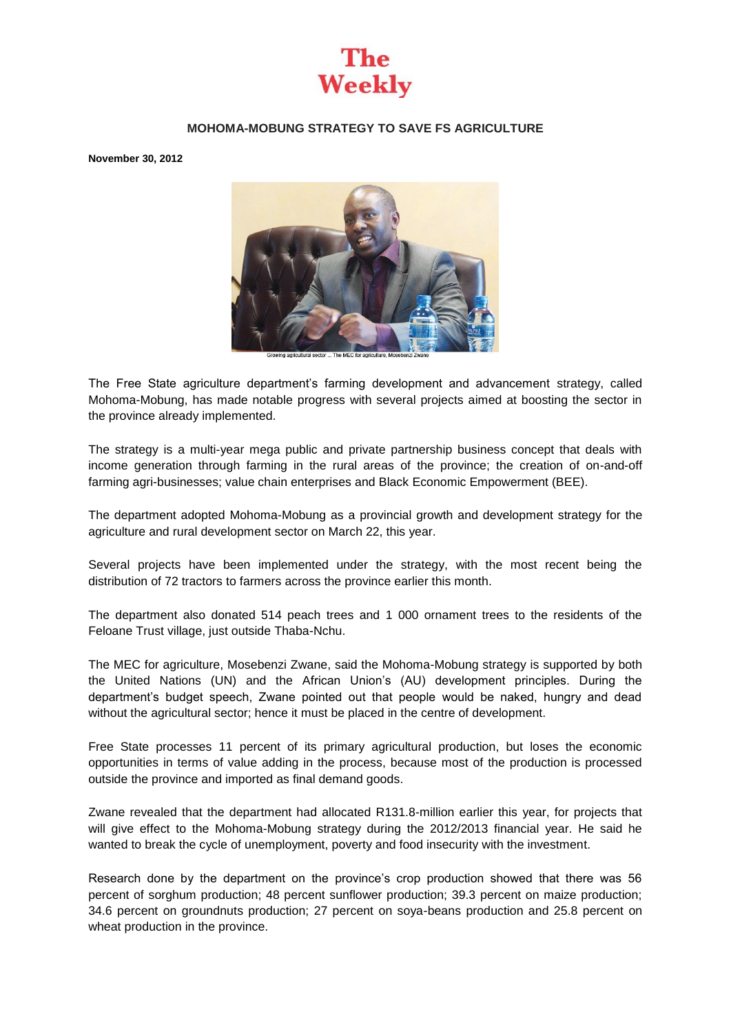

## **MOHOMA-MOBUNG STRATEGY TO SAVE FS AGRICULTURE**

**November 30, 2012** 



The Free State agriculture department's farming development and advancement strategy, called Mohoma-Mobung, has made notable progress with several projects aimed at boosting the sector in the province already implemented.

The strategy is a multi-year mega public and private partnership business concept that deals with income generation through farming in the rural areas of the province; the creation of on-and-off farming agri-businesses; value chain enterprises and Black Economic Empowerment (BEE).

The department adopted Mohoma-Mobung as a provincial growth and development strategy for the agriculture and rural development sector on March 22, this year.

Several projects have been implemented under the strategy, with the most recent being the distribution of 72 tractors to farmers across the province earlier this month.

The department also donated 514 peach trees and 1 000 ornament trees to the residents of the Feloane Trust village, just outside Thaba-Nchu.

The MEC for agriculture, Mosebenzi Zwane, said the Mohoma-Mobung strategy is supported by both the United Nations (UN) and the African Union's (AU) development principles. During the department's budget speech, Zwane pointed out that people would be naked, hungry and dead without the agricultural sector; hence it must be placed in the centre of development.

Free State processes 11 percent of its primary agricultural production, but loses the economic opportunities in terms of value adding in the process, because most of the production is processed outside the province and imported as final demand goods.

Zwane revealed that the department had allocated R131.8-million earlier this year, for projects that will give effect to the Mohoma-Mobung strategy during the 2012/2013 financial year. He said he wanted to break the cycle of unemployment, poverty and food insecurity with the investment.

Research done by the department on the province's crop production showed that there was 56 percent of sorghum production; 48 percent sunflower production; 39.3 percent on maize production; 34.6 percent on groundnuts production; 27 percent on soya-beans production and 25.8 percent on wheat production in the province.